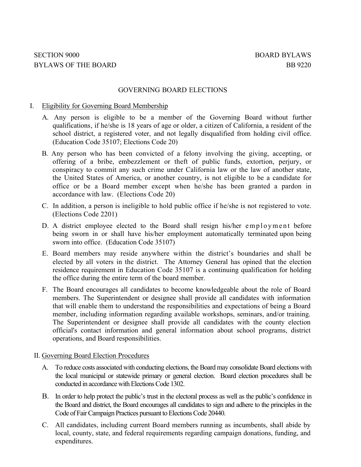#### GOVERNING BOARD ELECTIONS

### I. Eligibility for Governing Board Membership

- A. Any person is eligible to be a member of the Governing Board without further qualifications, if he/she is 18 years of age or older, a citizen of California, a resident of the school district, a registered voter, and not legally disqualified from holding civil office. (Education Code 35107; Elections Code 20)
- B. Any person who has been convicted of a felony involving the giving, accepting, or offering of a bribe, embezzlement or theft of public funds, extortion, perjury, or conspiracy to commit any such crime under California law or the law of another state, the United States of America, or another country, is not eligible to be a candidate for office or be a Board member except when he/she has been granted a pardon in accordance with law. (Elections Code 20)
- C. In addition, a person is ineligible to hold public office if he/she is not registered to vote. (Elections Code 2201)
- D. A district employee elected to the Board shall resign his/her employment before being sworn in or shall have his/her employment automatically terminated upon being sworn into office. (Education Code 35107)
- E. Board members may reside anywhere within the district's boundaries and shall be elected by all voters in the district. The Attorney General has opined that the election residence requirement in Education Code 35107 is a continuing qualification for holding the office during the entire term of the board member.
- F. The Board encourages all candidates to become knowledgeable about the role of Board members. The Superintendent or designee shall provide all candidates with information that will enable them to understand the responsibilities and expectations of being a Board member, including information regarding available workshops, seminars, and/or training. The Superintendent or designee shall provide all candidates with the county election official's contact information and general information about school programs, district operations, and Board responsibilities.

## II. Governing Board Election Procedures

- A. To reduce costs associated with conducting elections, the Board may consolidate Board elections with the local municipal or statewide primary or general election. Board election procedures shall be conducted in accordance with Elections Code 1302.
- B. In order to help protect the public's trust in the electoral process as well as the public's confidence in the Board and district, the Board encourages all candidates to sign and adhere to the principles in the Code of Fair Campaign Practices pursuant to Elections Code 20440.
- C. All candidates, including current Board members running as incumbents, shall abide by local, county, state, and federal requirements regarding campaign donations, funding, and expenditures.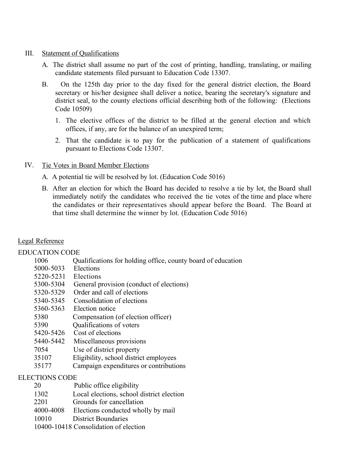### III. Statement of Qualifications

- A. The district shall assume no part of the cost of printing, handling, translating, or mailing candidate statements filed pursuant to Education Code 13307.
- B. On the 125th day prior to the day fixed for the general district election, the Board secretary or his/her designee shall deliver a notice, bearing the secretary's signature and district seal, to the county elections official describing both of the following: (Elections Code 10509)
	- 1. The elective offices of the district to be filled at the general election and which offices, if any, are for the balance of an unexpired term;
	- 2. That the candidate is to pay for the publication of a statement of qualifications pursuant to Elections Code 13307.
- IV. Tie Votes in Board Member Elections
	- A. A potential tie will be resolved by lot. (Education Code 5016)
	- B. After an election for which the Board has decided to resolve a tie by lot, the Board shall immediately notify the candidates who received the tie votes of the time and place where the candidates or their representatives should appear before the Board. The Board at that time shall determine the winner by lot. (Education Code 5016)

# Legal Reference

## EDUCATION CODE

| 1006                  | Qualifications for holding office, county board of education |
|-----------------------|--------------------------------------------------------------|
| 5000-5033             | Elections                                                    |
| 5220-5231             | Elections                                                    |
| 5300-5304             | General provision (conduct of elections)                     |
| 5320-5329             | Order and call of elections                                  |
| 5340-5345             | Consolidation of elections                                   |
| 5360-5363             | Election notice                                              |
| 5380                  | Compensation (of election officer)                           |
| 5390                  | Qualifications of voters                                     |
| 5420-5426             | Cost of elections                                            |
| 5440-5442             | Miscellaneous provisions                                     |
| 7054                  | Use of district property                                     |
| 35107                 | Eligibility, school district employees                       |
| 35177                 | Campaign expenditures or contributions                       |
| <b>ELECTIONS CODE</b> |                                                              |
|                       |                                                              |

- 20 Public office eligibility
- 1302 Local elections, school district election
- 2201 Grounds for cancellation
- 4000-4008 Elections conducted wholly by mail
- 10010 District Boundaries
- 10400-10418 Consolidation of election